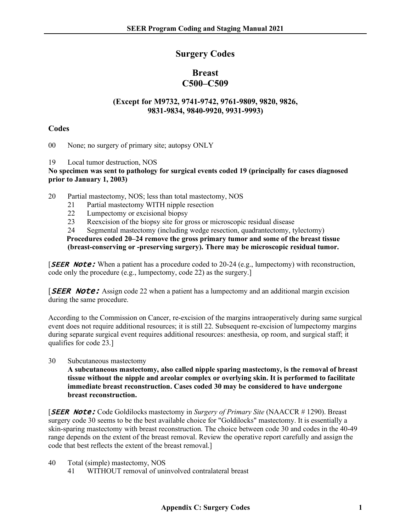## **Surgery Codes**

# **Breast C500–C509**

### **(Except for M9732, 9741-9742, 9761-9809, 9820, 9826, 9831-9834, 9840-9920, 9931-9993)**

### **Codes**

00 None; no surgery of primary site; autopsy ONLY

19 Local tumor destruction, NOS

**No specimen was sent to pathology for surgical events coded 19 (principally for cases diagnosed prior to January 1, 2003)**

20 Partial mastectomy, NOS; less than total mastectomy, NOS

- 21 Partial mastectomy WITH nipple resection
- 22 Lumpectomy or excisional biopsy
- 23 Reexcision of the biopsy site for gross or microscopic residual disease
- 24 Segmental mastectomy (including wedge resection, quadrantectomy, tylectomy)

**Procedures coded 20–24 remove the gross primary tumor and some of the breast tissue (breast-conserving or -preserving surgery). There may be microscopic residual tumor.**

**SEER Note:** When a patient has a procedure coded to 20-24 (e.g., lumpectomy) with reconstruction, code only the procedure (e.g., lumpectomy, code 22) as the surgery.]

**SEER Note:** Assign code 22 when a patient has a lumpectomy and an additional margin excision during the same procedure.

According to the Commission on Cancer, re-excision of the margins intraoperatively during same surgical event does not require additional resources; it is still 22. Subsequent re-excision of lumpectomy margins during separate surgical event requires additional resources: anesthesia, op room, and surgical staff; it qualifies for code 23.]

30 Subcutaneous mastectomy

**A subcutaneous mastectomy, also called nipple sparing mastectomy, is the removal of breast tissue without the nipple and areolar complex or overlying skin. It is performed to facilitate immediate breast reconstruction. Cases coded 30 may be considered to have undergone breast reconstruction.**

[SEER Note: Code Goldilocks mastectomy in *Surgery of Primary Site* (NAACCR # 1290). Breast surgery code 30 seems to be the best available choice for "Goldilocks" mastectomy. It is essentially a skin-sparing mastectomy with breast reconstruction. The choice between code 30 and codes in the 40-49 range depends on the extent of the breast removal. Review the operative report carefully and assign the code that best reflects the extent of the breast removal.]

- 40 Total (simple) mastectomy, NOS
	- 41 WITHOUT removal of uninvolved contralateral breast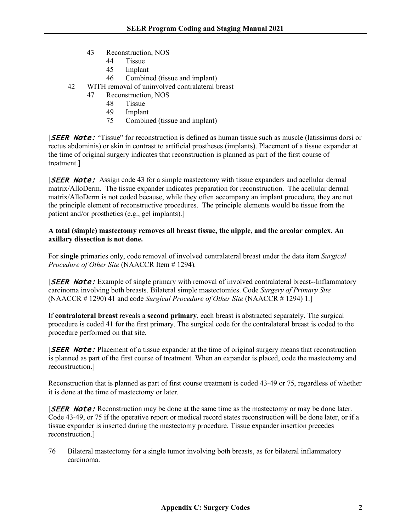- 43 Reconstruction, NOS
	- 44 Tissue
	- 45 Implant
	- 46 Combined (tissue and implant)
- 42 WITH removal of uninvolved contralateral breast
	- 47 Reconstruction, NOS
		- 48 Tissue
		- 49 Implant<br>75 Combin
		- Combined (tissue and implant)

**[SEER Note:** "Tissue" for reconstruction is defined as human tissue such as muscle (latissimus dorsi or rectus abdominis) or skin in contrast to artificial prostheses (implants). Placement of a tissue expander at the time of original surgery indicates that reconstruction is planned as part of the first course of treatment.]

**SEER Note:** Assign code 43 for a simple mastectomy with tissue expanders and acellular dermal matrix/AlloDerm. The tissue expander indicates preparation for reconstruction. The acellular dermal matrix/AlloDerm is not coded because, while they often accompany an implant procedure, they are not the principle element of reconstructive procedures. The principle elements would be tissue from the patient and/or prosthetics (e.g., gel implants).]

#### **A total (simple) mastectomy removes all breast tissue, the nipple, and the areolar complex. An axillary dissection is not done.**

For **single** primaries only, code removal of involved contralateral breast under the data item *Surgical Procedure of Other Site* (NAACCR Item # 1294).

**[SEER Note:** Example of single primary with removal of involved contralateral breast--Inflammatory carcinoma involving both breasts. Bilateral simple mastectomies. Code *Surgery of Primary Site* (NAACCR # 1290) 41 and code *Surgical Procedure of Other Site* (NAACCR # 1294) 1.]

If **contralateral breast** reveals a **second primary**, each breast is abstracted separately. The surgical procedure is coded 41 for the first primary. The surgical code for the contralateral breast is coded to the procedure performed on that site.

**SEER Note:** Placement of a tissue expander at the time of original surgery means that reconstruction is planned as part of the first course of treatment. When an expander is placed, code the mastectomy and reconstruction.]

Reconstruction that is planned as part of first course treatment is coded 43-49 or 75, regardless of whether it is done at the time of mastectomy or later.

**SEER Note:** Reconstruction may be done at the same time as the mastectomy or may be done later. Code 43-49, or 75 if the operative report or medical record states reconstruction will be done later, or if a tissue expander is inserted during the mastectomy procedure. Tissue expander insertion precedes reconstruction.]

76 Bilateral mastectomy for a single tumor involving both breasts, as for bilateral inflammatory carcinoma.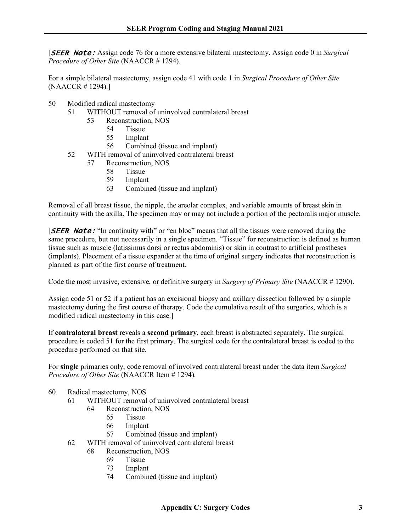[SEER Note: Assign code 76 for a more extensive bilateral mastectomy. Assign code 0 in *Surgical Procedure of Other Site* (NAACCR # 1294).

For a simple bilateral mastectomy, assign code 41 with code 1 in *Surgical Procedure of Other Site* (NAACCR # 1294).]

- 50 Modified radical mastectomy
	- 51 WITHOUT removal of uninvolved contralateral breast
		- 53 Reconstruction, NOS
			- 54 Tissue
				- 55 Implant
				- 56 Combined (tissue and implant)
	- 52 WITH removal of uninvolved contralateral breast
		- 57 Reconstruction, NOS
			- 58 Tissue
			- 59 Implant
			- 63 Combined (tissue and implant)

Removal of all breast tissue, the nipple, the areolar complex, and variable amounts of breast skin in continuity with the axilla. The specimen may or may not include a portion of the pectoralis major muscle.

**[SEER Note:** "In continuity with" or "en bloc" means that all the tissues were removed during the same procedure, but not necessarily in a single specimen. "Tissue" for reconstruction is defined as human tissue such as muscle (latissimus dorsi or rectus abdominis) or skin in contrast to artificial prostheses (implants). Placement of a tissue expander at the time of original surgery indicates that reconstruction is planned as part of the first course of treatment.

Code the most invasive, extensive, or definitive surgery in *Surgery of Primary Site* (NAACCR # 1290).

Assign code 51 or 52 if a patient has an excisional biopsy and axillary dissection followed by a simple mastectomy during the first course of therapy. Code the cumulative result of the surgeries, which is a modified radical mastectomy in this case.]

If **contralateral breast** reveals a **second primary**, each breast is abstracted separately. The surgical procedure is coded 51 for the first primary. The surgical code for the contralateral breast is coded to the procedure performed on that site.

For **single** primaries only, code removal of involved contralateral breast under the data item *Surgical Procedure of Other Site* (NAACCR Item # 1294).

- 60 Radical mastectomy, NOS
	- 61 WITHOUT removal of uninvolved contralateral breast
		- 64 Reconstruction, NOS
			- 65 Tissue
			- 66 Implant
			- 67 Combined (tissue and implant)
	- 62 WITH removal of uninvolved contralateral breast
		- 68 Reconstruction, NOS
			- 69 Tissue
			- 73 Implant
			- 74 Combined (tissue and implant)